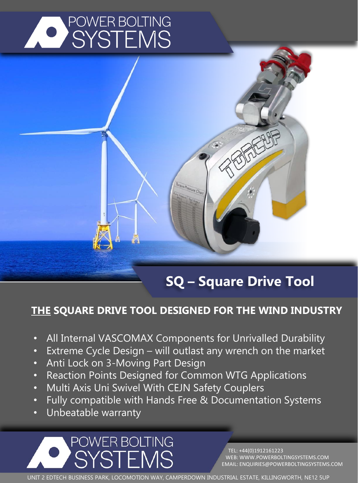



## **SQ – Square Drive Tool**

### **THE SQUARE DRIVE TOOL DESIGNED FOR THE WIND INDUSTRY**

- All Internal VASCOMAX Components for Unrivalled Durability
- Extreme Cycle Design will outlast any wrench on the market
- Anti Lock on 3-Moving Part Design
- Reaction Points Designed for Common WTG Applications
- Multi Axis Uni Swivel With CEJN Safety Couplers
- Fully compatible with Hands Free & Documentation Systems
- Unbeatable warranty

POWER BOLTING **/STFMS** 

TEL: +44(0)1912161223 WEB: WWW.POWERBOLTINGSYSTEMS.COM EMAIL: ENQUIRIES@POWERBOLTINGSYSTEMS.COM

UNIT 2 EDTECH BUSINESS PARK, LOCOMOTION WAY, CAMPERDOWN INDUSTRIAL ESTATE, KILLINGWORTH, NE12 5UP